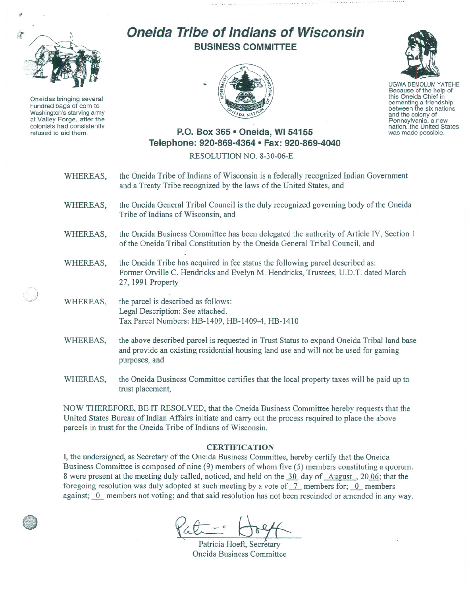

Oneidas bringing several hundred bags of corn to Washington's starving army at Valley Forge, after the colonists had consistently refused to aid them.

".)

## **Oneida Tribe of Indians of Wisconsin BUSINESS COMMITTEE**





UGWA DEMOLUM YATEHE Because of the help of this Oneida Chief in<br>cementing a friendship between the six nations and the colony of<br>Pennsylvania, a new nation, the United States was made possible.

## **P.O. Box 365· Oneida,** WI 54155 **Telephone: 920-869-4364 • Fax: 920-869-4040**

## RESOLUTION NO. 8-30-06-E

- WHEREAS, the Oneida Tribe of Indians of Wisconsin is a federally recognized Indian Government and a Treaty Tribe recognized by the laws of the United States, and
- WHEREAS, the Oneida General Tribal Council is the duly recognized governing body of the Oneida Tribe of Indians of Wisconsin, and
- WHEREAS, the Oneida Business Committee has been delegated the authority of Article TV, Section 1 of the Oneida Tribal Constitution by the Oneida General Tribal Council, and
- WHEREAS, the Oneida Tribe has acquired in fee status the following parcel described as: Former Orville C. Hendricks and Evelyn M. Hendricks, Trustees, U.D.T. dated March 27, 1991 Property
- WHEREAS, the parcel is described as follows: Legal Description: See attached. Tax Parcel Numbers: HB-1409, HB-1409-4, HB-1410
- WHEREAS, the above described parcel is requested in Trust Status to expand Oneida Tribal land base and provide an existing residential housing land use and will not be used for gaming purposes, and
- WHEREAS, the Oneida Business Committee certifies that the local property taxes will be paid up to trust placement,

NOW THEREFORE, BE IT RESOLVED, that the Oneida Business Committee hereby requests that the United States Bureau of Indian Affairs initiate and carry out the process required to place the above parcels in trust for the Oneida Tribe of Indians of Wisconsin.

## **CERTIFICATION**

I, the undersigned, as Secretary of the Oneida Business Committee, hereby certify that the Oneida Business Committee is composed of nine (9) members of whom five (5) members constituting a quorum. 8 were present at the meeting duly called, noticed, and held on the 30 day of August, 2006; that the foregoing resolution was duly adopted at such meeting by a vote of  $\frac{7}{1}$  members for; 0 members against; 0 members not voting; and that said resolution has not been rescinded or amended in any way.

 $~\rightarrow$ 

Patricia Hoeft, Secretary Oneida Business Committee